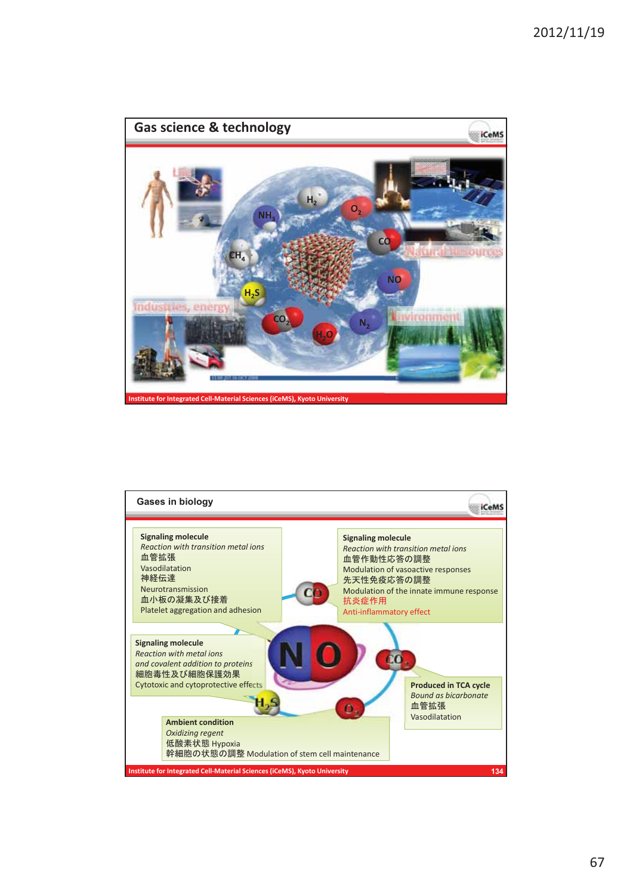

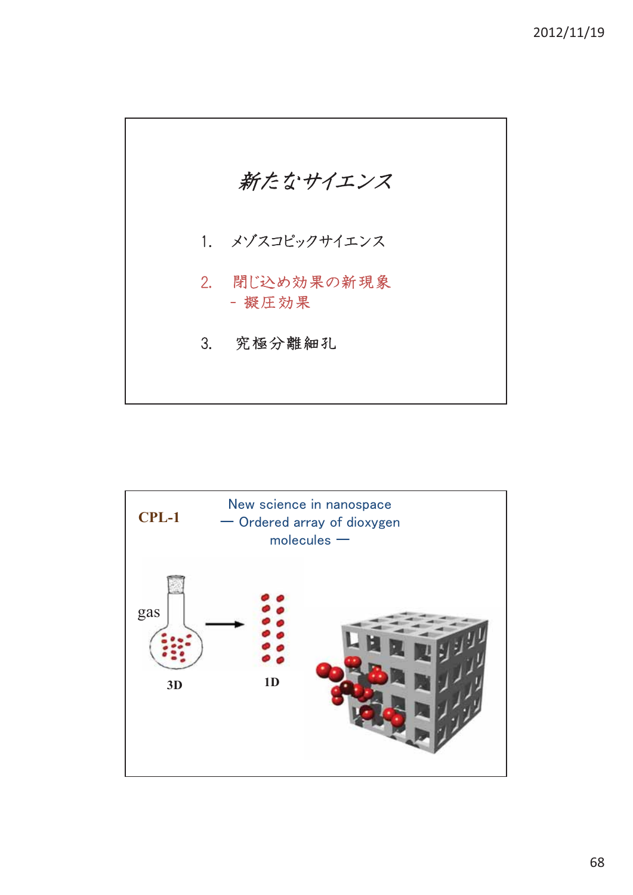

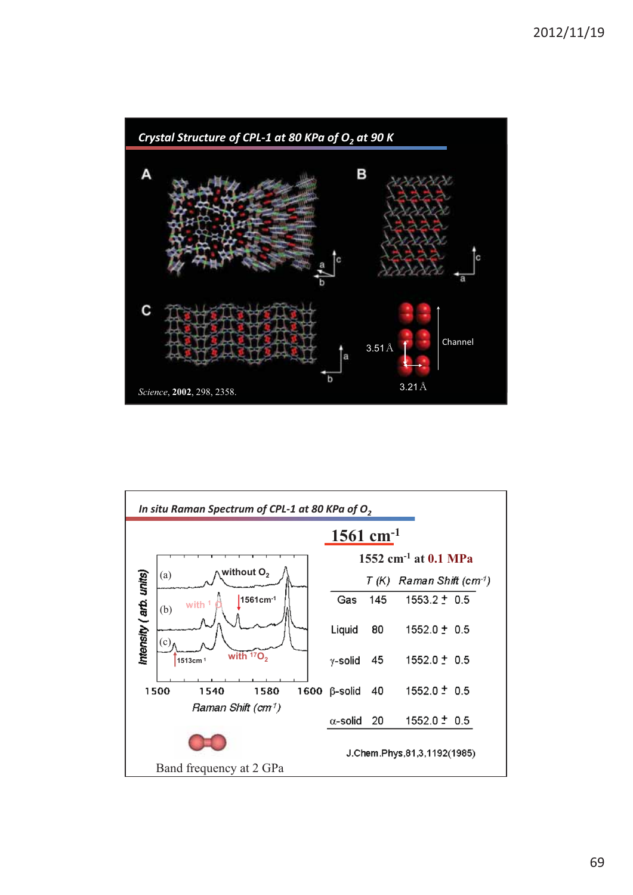

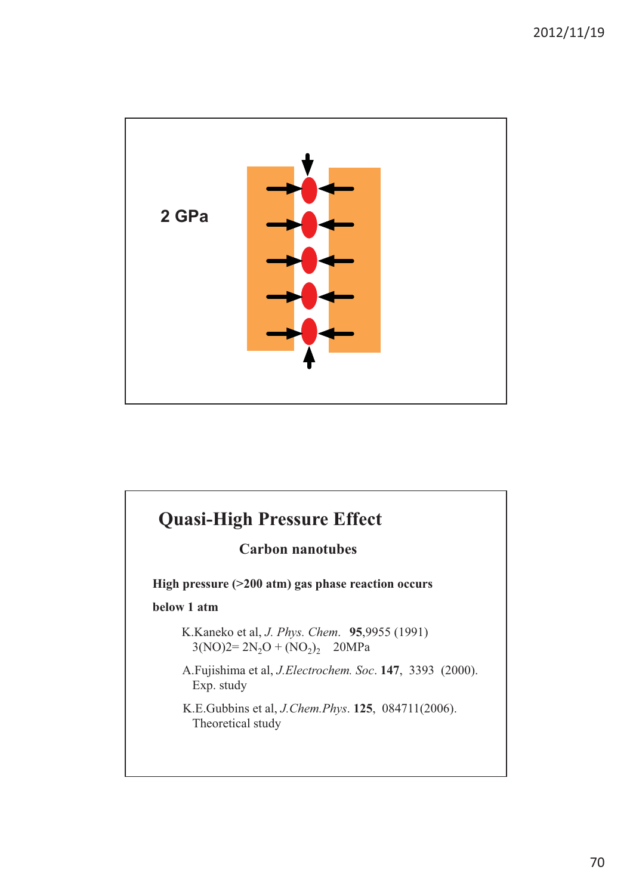